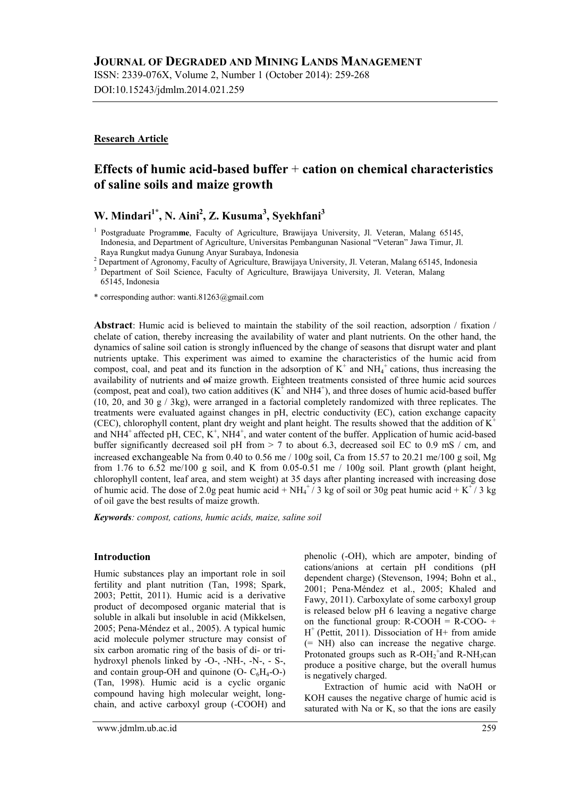ISSN: 2339-076X, Volume 2, Number 1 (October 2014): 259-268 DOI:10.15243/jdmlm.2014.021.259

### **Research Article**

# **Effects of humic acid-based buffer** + **cation on chemical characteristics of saline soils and maize growth**

# **W. Mindari1\* , N. Aini<sup>2</sup> , Z. Kusuma<sup>3</sup> , Syekhfani<sup>3</sup>**

<sup>1</sup> Postgraduate Programme, Faculty of Agriculture, Brawijaya University, Jl. Veteran, Malang 65145, Indonesia, and Department of Agriculture, Universitas Pembangunan Nasional "Veteran" Jawa Timur, Jl. Raya Rungkut madya Gunung Anyar Surabaya, Indonesia

<sup>2</sup> Department of Agronomy, Faculty of Agriculture, Brawijaya University, Jl. Veteran, Malang 65145, Indonesia

<sup>3</sup> Department of Soil Science, Faculty of Agriculture, Brawijaya University, Jl. Veteran, Malang 65145, Indonesia

\* corresponding author: wanti.81263@gmail.com

**Abstract**: Humic acid is believed to maintain the stability of the soil reaction, adsorption / fixation / chelate of cation, thereby increasing the availability of water and plant nutrients. On the other hand, the dynamics of saline soil cation is strongly influenced by the change of seasons that disrupt water and plant nutrients uptake. This experiment was aimed to examine the characteristics of the humic acid from compost, coal, and peat and its function in the adsorption of  $K^+$  and  $NH_4^+$  cations, thus increasing the availability of nutrients and of maize growth. Eighteen treatments consisted of three humic acid sources (compost, peat and coal), two cation additives  $(K^{\dagger}$  and NH4<sup>+</sup>), and three doses of humic acid-based buffer (10, 20, and 30 g / 3kg), were arranged in a factorial completely randomized with three replicates. The treatments were evaluated against changes in pH, electric conductivity (EC), cation exchange capacity (CEC), chlorophyll content, plant dry weight and plant height. The results showed that the addition of  $K^+$ and NH4<sup>+</sup> affected pH, CEC, K<sup>+</sup>, NH4<sup>+</sup>, and water content of the buffer. Application of humic acid-based buffer significantly decreased soil pH from  $> 7$  to about 6.3, decreased soil EC to 0.9 mS / cm, and increased exchangeable Na from 0.40 to 0.56 me / 100g soil, Ca from 15.57 to 20.21 me/100 g soil, Mg from 1.76 to 6.52 me/100 g soil, and K from 0.05-0.51 me / 100g soil. Plant growth (plant height, chlorophyll content, leaf area, and stem weight) at 35 days after planting increased with increasing dose of humic acid. The dose of 2.0g peat humic acid +  $NH_4^+$ / 3 kg of soil or 30g peat humic acid + K<sup>+</sup>/ 3 kg of oil gave the best results of maize growth.

*Keywords: compost, cations, humic acids, maize, saline soil*

#### **Introduction**

Humic substances play an important role in soil fertility and plant nutrition (Tan, 1998; Spark, 2003; Pettit, 2011). Humic acid is a derivative product of decomposed organic material that is soluble in alkali but insoluble in acid (Mikkelsen, 2005; Pena-Méndez et al., 2005). A typical humic acid molecule polymer structure may consist of six carbon aromatic ring of the basis of di- or trihydroxyl phenols linked by -O-, -NH-, -N-, - S-, and contain group-OH and quinone  $(O - C_6H_4-O)$ (Tan, 1998). Humic acid is a cyclic organic compound having high molecular weight, longchain, and active carboxyl group (-COOH) and

phenolic (-OH), which are ampoter, binding of cations/anions at certain pH conditions (pH dependent charge) (Stevenson, 1994; Bohn et al., 2001; Pena-Méndez et al., 2005; Khaled and Fawy, 2011). Carboxylate of some carboxyl group is released below pH 6 leaving a negative charge on the functional group:  $R-COOH = R-COO- +$ H + (Pettit, 2011). Dissociation of H+ from amide (= NH) also can increase the negative charge. Protonated groups such as  $R\text{-}OH_2^+$  and  $R\text{-}NH_3$ can produce a positive charge, but the overall humus is negatively charged.

Extraction of humic acid with NaOH or KOH causes the negative charge of humic acid is saturated with Na or K, so that the ions are easily

www.jdmlm.ub.ac.id 259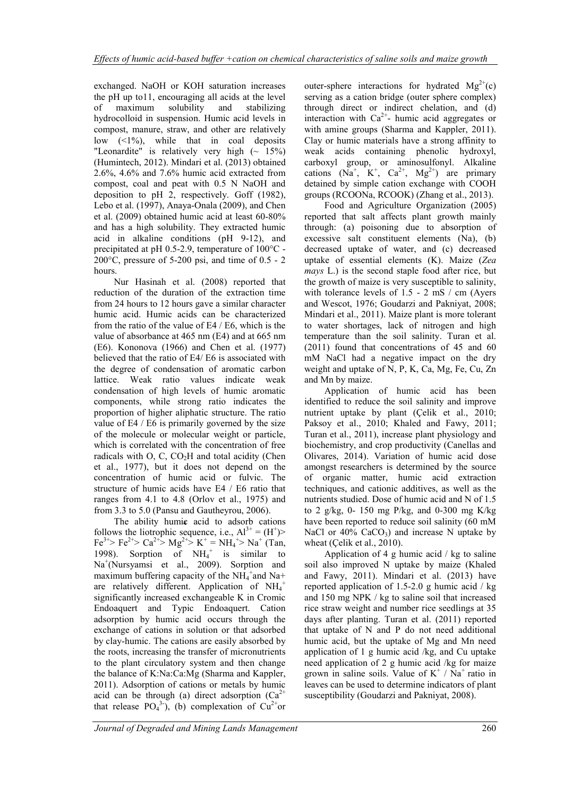exchanged. NaOH or KOH saturation increases the pH up to11, encouraging all acids at the level of maximum solubility and stabilizing hydrocolloid in suspension. Humic acid levels in compost, manure, straw, and other are relatively low  $(1\%)$ , while that in coal deposits "Leonardite" is relatively very high  $(\sim 15\%)$ (Humintech, 2012). Mindari et al. (2013) obtained 2.6%, 4.6% and 7.6% humic acid extracted from compost, coal and peat with 0.5 N NaOH and deposition to pH 2, respectively. Goff (1982), Lebo et al. (1997), Anaya-Onala (2009), and Chen et al. (2009) obtained humic acid at least 60-80% and has a high solubility. They extracted humic acid in alkaline conditions (pH 9-12), and precipitated at pH 0.5-2.9, temperature of 100°C - 200 $^{\circ}$ C, pressure of 5-200 psi, and time of 0.5 - 2 hours.

Nur Hasinah et al. (2008) reported that reduction of the duration of the extraction time from 24 hours to 12 hours gave a similar character humic acid. Humic acids can be characterized from the ratio of the value of E4 / E6, which is the value of absorbance at 465 nm (E4) and at 665 nm (E6). Kononova (1966) and Chen et al. (1977) believed that the ratio of E4/ E6 is associated with the degree of condensation of aromatic carbon lattice. Weak ratio values indicate weak condensation of high levels of humic aromatic components, while strong ratio indicates the proportion of higher aliphatic structure. The ratio value of E4 / E6 is primarily governed by the size of the molecule or molecular weight or particle, which is correlated with the concentration of free radicals with  $O$ ,  $C$ ,  $CO<sub>2</sub>H$  and total acidity (Chen et al., 1977), but it does not depend on the concentration of humic acid or fulvic. The structure of humic acids have E4 / E6 ratio that ranges from 4.1 to 4.8 (Orlov et al., 1975) and from 3.3 to 5.0 (Pansu and Gautheyrou, 2006).

The ability humic acid to adsorb cations follows the liotrophic sequence, i.e.,  $Al^{3+} = (H^+)$ Fe<sup>3+</sup>> Fe<sup>2+</sup>> Ca<sup>2+</sup>> Mg<sup>2+</sup>> K<sup>+</sup> = NH<sub>4</sub><sup>+</sup>> Na<sup>+</sup> (Tan, 1998). Sorption of  $NH_4^+$  is similar to Na<sup>+</sup> (Nursyamsi et al., 2009). Sorption and maximum buffering capacity of the  $NH_4^+$  and Na+ are relatively different. Application of  $NH_4^+$ significantly increased exchangeable K in Cromic Endoaquert and Typic Endoaquert. Cation adsorption by humic acid occurs through the exchange of cations in solution or that adsorbed by clay-humic. The cations are easily absorbed by the roots, increasing the transfer of micronutrients to the plant circulatory system and then change the balance of K:Na:Ca:Mg (Sharma and Kappler, 2011). Adsorption of cations or metals by humic acid can be through (a) direct adsorption  $(Ca^{2+}$ that release  $PO_4^3$ ), (b) complexation of  $Cu^{2+}$ or

outer-sphere interactions for hydrated  $Mg^{2+}(c)$ serving as a cation bridge (outer sphere complex) through direct or indirect chelation, and (d) interaction with  $Ca^{2+}$ - humic acid aggregates or with amine groups (Sharma and Kappler, 2011). Clay or humic materials have a strong affinity to weak acids containing phenolic hydroxyl, carboxyl group, or aminosulfonyl. Alkaline cations  $(Na^+, K^+, Ca^{2+}, Mg^{2+})$  are primary detained by simple cation exchange with COOH groups (RCOONa, RCOOK) (Zhang et al., 2013).

Food and Agriculture Organization (2005) reported that salt affects plant growth mainly through: (a) poisoning due to absorption of excessive salt constituent elements (Na), (b) decreased uptake of water, and (c) decreased uptake of essential elements (K). Maize (*Zea mays* L.) is the second staple food after rice, but the growth of maize is very susceptible to salinity, with tolerance levels of 1.5 - 2 mS / cm (Ayers and Wescot, 1976; Goudarzi and Pakniyat, 2008; Mindari et al., 2011). Maize plant is more tolerant to water shortages, lack of nitrogen and high temperature than the soil salinity. Turan et al. (2011) found that concentrations of 45 and 60 mM NaCl had a negative impact on the dry weight and uptake of N, P, K, Ca, Mg, Fe, Cu, Zn and Mn by maize.

Application of humic acid has been identified to reduce the soil salinity and improve nutrient uptake by plant (Çelik et al., 2010; Paksoy et al., 2010; Khaled and Fawy, 2011; Turan et al., 2011), increase plant physiology and biochemistry, and crop productivity (Canellas and Olivares, 2014). Variation of humic acid dose amongst researchers is determined by the source of organic matter, humic acid extraction techniques, and cationic additives, as well as the nutrients studied. Dose of humic acid and N of 1.5 to 2 g/kg, 0- 150 mg P/kg, and 0-300 mg K/kg have been reported to reduce soil salinity (60 mM NaCl or  $40\%$  CaCO<sub>3</sub>) and increase N uptake by wheat (Çelik et al., 2010).

Application of 4 g humic acid / kg to saline soil also improved N uptake by maize (Khaled and Fawy, 2011). Mindari et al. (2013) have reported application of  $1.5-2.0$  g humic acid / kg and 150 mg NPK / kg to saline soil that increased rice straw weight and number rice seedlings at 35 days after planting. Turan et al. (2011) reported that uptake of N and P do not need additional humic acid, but the uptake of Mg and Mn need application of 1 g humic acid /kg, and Cu uptake need application of 2 g humic acid /kg for maize grown in saline soils. Value of  $K^+$  /  $Na^+$  ratio in leaves can be used to determine indicators of plant susceptibility (Goudarzi and Pakniyat, 2008).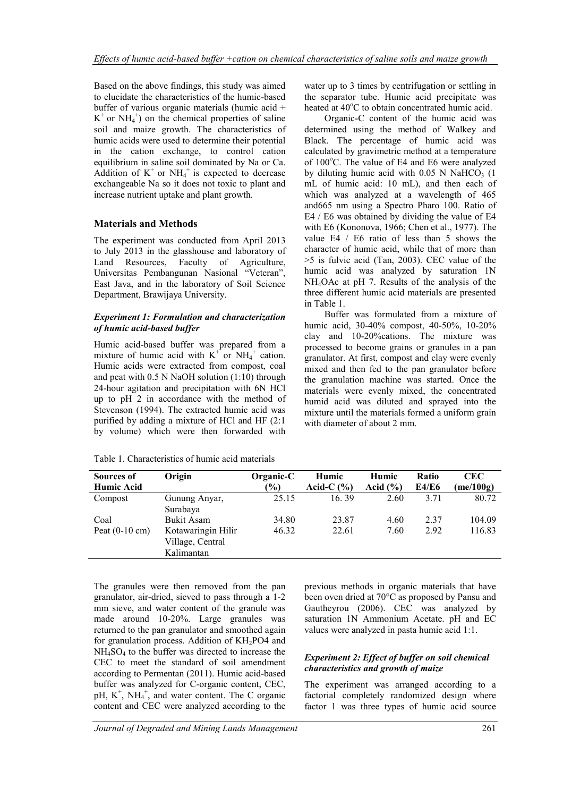Based on the above findings, this study was aimed to elucidate the characteristics of the humic-based buffer of various organic materials (humic acid +  $K^+$  or  $NH_4^+$ ) on the chemical properties of saline soil and maize growth. The characteristics of humic acids were used to determine their potential in the cation exchange, to control cation equilibrium in saline soil dominated by Na or Ca. Addition of  $K^+$  or  $NH_4^+$  is expected to decrease exchangeable Na so it does not toxic to plant and increase nutrient uptake and plant growth.

## **Materials and Methods**

The experiment was conducted from April 2013 to July 2013 in the glasshouse and laboratory of Land Resources, Faculty of Agriculture, Universitas Pembangunan Nasional "Veteran", East Java, and in the laboratory of Soil Science Department, Brawijaya University.

### *Experiment 1: Formulation and characterization of humic acid-based buffer*

Humic acid-based buffer was prepared from a mixture of humic acid with  $K^+$  or  $NH_4^+$  cation. Humic acids were extracted from compost, coal and peat with  $0.5$  N NaOH solution  $(1:10)$  through 24-hour agitation and precipitation with 6N HCl up to pH 2 in accordance with the method of Stevenson (1994). The extracted humic acid was purified by adding a mixture of HCl and HF (2:1 by volume) which were then forwarded with

water up to 3 times by centrifugation or settling in the separator tube. Humic acid precipitate was heated at  $40^{\circ}$ C to obtain concentrated humic acid.

Organic-C content of the humic acid was determined using the method of Walkey and Black. The percentage of humic acid was calculated by gravimetric method at a temperature of  $100^{\circ}$ C. The value of E4 and E6 were analyzed by diluting humic acid with  $0.05$  N NaHCO<sub>3</sub> (1) mL of humic acid: 10 mL), and then each of which was analyzed at a wavelength of 465 and665 nm using a Spectro Pharo 100. Ratio of E4 / E6 was obtained by dividing the value of E4 with E6 (Kononova, 1966; Chen et al., 1977). The value E4 / E6 ratio of less than 5 shows the character of humic acid, while that of more than >5 is fulvic acid (Tan, 2003). CEC value of the humic acid was analyzed by saturation 1N NH4OAc at pH 7. Results of the analysis of the three different humic acid materials are presented in Table 1.

Buffer was formulated from a mixture of humic acid, 30-40% compost, 40-50%, 10-20% clay and 10-20%cations. The mixture was processed to become grains or granules in a pan granulator. At first, compost and clay were evenly mixed and then fed to the pan granulator before the granulation machine was started. Once the materials were evenly mixed, the concentrated humid acid was diluted and sprayed into the mixture until the materials formed a uniform grain with diameter of about 2 mm.

| Sources of               | Origin             | Organic-C      | Humic          | Humic        | Ratio        | CEC.    |
|--------------------------|--------------------|----------------|----------------|--------------|--------------|---------|
| <b>Humic Acid</b>        |                    | $\frac{10}{6}$ | Acid-C $(\% )$ | Acid $(\% )$ | <b>E4/E6</b> | me/100g |
| Compost                  | Gunung Anyar,      | 25.15          | 16.39          | 2.60         | 3.71         | 80.72   |
|                          | Surabaya           |                |                |              |              |         |
| Coal                     | <b>Bukit Asam</b>  | 34.80          | 23.87          | 4.60         | 2.37         | 104.09  |
| Peat $(0-10 \text{ cm})$ | Kotawaringin Hilir | 46.32          | 22.61          | 7.60         | 2.92         | 116.83  |
|                          | Village, Central   |                |                |              |              |         |
|                          | Kalimantan         |                |                |              |              |         |

Table 1. Characteristics of humic acid materials

The granules were then removed from the pan granulator, air-dried, sieved to pass through a 1-2 mm sieve, and water content of the granule was made around 10-20%. Large granules was returned to the pan granulator and smoothed again for granulation process. Addition of  $KH<sub>2</sub>PO4$  and NH4SO<sup>4</sup> to the buffer was directed to increase the CEC to meet the standard of soil amendment according to Permentan (2011). Humic acid-based buffer was analyzed for C-organic content, CEC, pH,  $K^+$ , NH<sub>4</sub><sup>+</sup>, and water content. The C organic content and CEC were analyzed according to the

previous methods in organic materials that have been oven dried at 70°C as proposed by Pansu and Gautheyrou (2006). CEC was analyzed by saturation 1N Ammonium Acetate. pH and EC values were analyzed in pasta humic acid 1:1.

### *Experiment 2: Effect of buffer on soil chemical characteristics and growth of maize*

The experiment was arranged according to a factorial completely randomized design where factor 1 was three types of humic acid source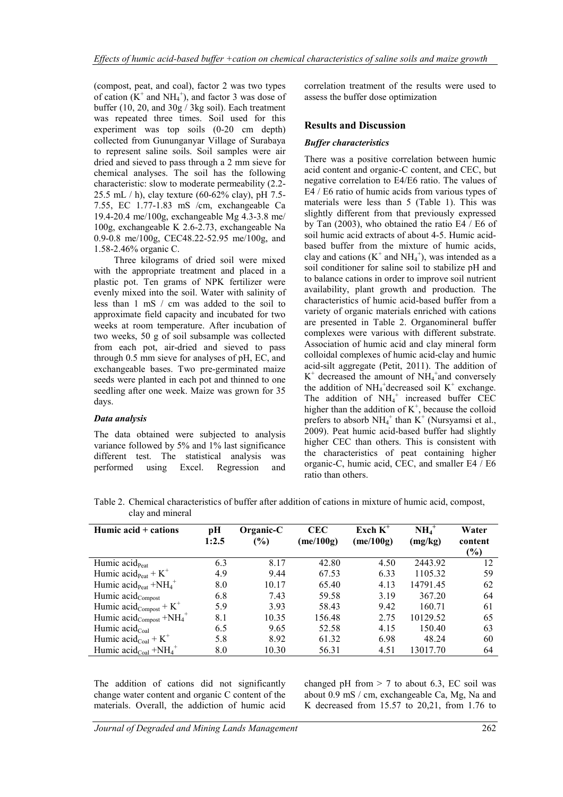(compost, peat, and coal), factor 2 was two types of cation  $(K^+$  and NH<sub>4</sub><sup>+</sup>), and factor 3 was dose of buffer (10, 20, and 30g / 3kg soil). Each treatment was repeated three times. Soil used for this experiment was top soils (0-20 cm depth) collected from Gununganyar Village of Surabaya to represent saline soils. Soil samples were air dried and sieved to pass through a 2 mm sieve for chemical analyses. The soil has the following characteristic: slow to moderate permeability (2.2- 25.5 mL / h), clay texture (60-62% clay), pH 7.5- 7.55, EC 1.77-1.83 mS /cm, exchangeable Ca 19.4-20.4 me/100g, exchangeable Mg 4.3-3.8 me/ 100g, exchangeable K 2.6-2.73, exchangeable Na 0.9-0.8 me/100g, CEC48.22-52.95 me/100g, and 1.58-2.46% organic C.

Three kilograms of dried soil were mixed with the appropriate treatment and placed in a plastic pot. Ten grams of NPK fertilizer were evenly mixed into the soil. Water with salinity of less than 1 mS / cm was added to the soil to approximate field capacity and incubated for two weeks at room temperature. After incubation of two weeks, 50 g of soil subsample was collected from each pot, air-dried and sieved to pass through 0.5 mm sieve for analyses of pH, EC, and exchangeable bases. Two pre-germinated maize seeds were planted in each pot and thinned to one seedling after one week. Maize was grown for 35 days.

### *Data analysis*

The data obtained were subjected to analysis variance followed by 5% and 1% last significance different test. The statistical analysis was performed using Excel. Regression and

correlation treatment of the results were used to assess the buffer dose optimization

## **Results and Discussion**

### *Buffer characteristics*

There was a positive correlation between humic acid content and organic-C content, and CEC, but negative correlation to E4/E6 ratio. The values of E4 / E6 ratio of humic acids from various types of materials were less than 5 (Table 1). This was slightly different from that previously expressed by Tan (2003), who obtained the ratio E4 / E6 of soil humic acid extracts of about 4-5. Humic acidbased buffer from the mixture of humic acids, clay and cations  $(K^+$  and  $NH_4^+)$ , was intended as a soil conditioner for saline soil to stabilize pH and to balance cations in order to improve soil nutrient availability, plant growth and production. The characteristics of humic acid-based buffer from a variety of organic materials enriched with cations are presented in Table 2. Organomineral buffer complexes were various with different substrate. Association of humic acid and clay mineral form colloidal complexes of humic acid-clay and humic acid-silt aggregate (Petit, 2011). The addition of  $K^+$  decreased the amount of NH<sub>4</sub><sup>+</sup>and conversely the addition of  $NH_4^+$ decreased soil K<sup>+</sup> exchange. The addition of  $NH_4^+$  increased buffer CEC higher than the addition of  $K^+$ , because the colloid prefers to absorb  $NH_4^+$  than  $K^+$  (Nursyamsi et al., 2009). Peat humic acid-based buffer had slightly higher CEC than others. This is consistent with the characteristics of peat containing higher organic-C, humic acid, CEC, and smaller E4 / E6 ratio than others.

Table 2. Chemical characteristics of buffer after addition of cations in mixture of humic acid, compost, clay and mineral

| Humic acid $+$ cations                                       | pН<br>1:2.5 | Organic-C<br>(%) | <b>CEC</b><br>(me/100g) | Exch $K^+$<br>me/100g | $NH4+$<br>(mg/kg) | Water<br>content<br>(%) |
|--------------------------------------------------------------|-------------|------------------|-------------------------|-----------------------|-------------------|-------------------------|
| Humic $acid_{\text{Part}}$                                   | 6.3         | 8.17             | 42.80                   | 4.50                  | 2443.92           | 12                      |
| Humic $\text{acid}_{\text{Pear}} + K^+$                      | 4.9         | 9.44             | 67.53                   | 6.33                  | 1105.32           | 59                      |
| Humic $\text{acid}_{\text{Pear}} + \text{NH}_4^+$            | 8.0         | 10.17            | 65.40                   | 4.13                  | 14791.45          | 62                      |
| Humic acid <sub>Compost</sub>                                | 6.8         | 7.43             | 59.58                   | 3.19                  | 367.20            | 64                      |
| Humic $\text{acid}_{\text{Compost}} + K^+$                   | 5.9         | 3.93             | 58.43                   | 9.42                  | 160.71            | 61                      |
| Humic $\text{acid}_{\text{Compost}} + \text{NH}_4^+$         | 8.1         | 10.35            | 156.48                  | 2.75                  | 10129.52          | 65                      |
| Humic $\operatorname{acid_{Coal}}$                           | 6.5         | 9.65             | 52.58                   | 4.15                  | 150.40            | 63                      |
| Humic $\text{acid}_{\text{Coal}} + K^+$                      | 5.8         | 8.92             | 61.32                   | 6.98                  | 48.24             | 60                      |
| Humic $\text{acid}_{\text{Coal}} + \text{NH}_4$ <sup>+</sup> | 8.0         | 10.30            | 56.31                   | 4.51                  | 13017.70          | 64                      |

The addition of cations did not significantly change water content and organic C content of the materials. Overall, the addiction of humic acid

changed pH from  $> 7$  to about 6.3, EC soil was about 0.9 mS / cm, exchangeable Ca, Mg, Na and K decreased from 15.57 to 20,21, from 1.76 to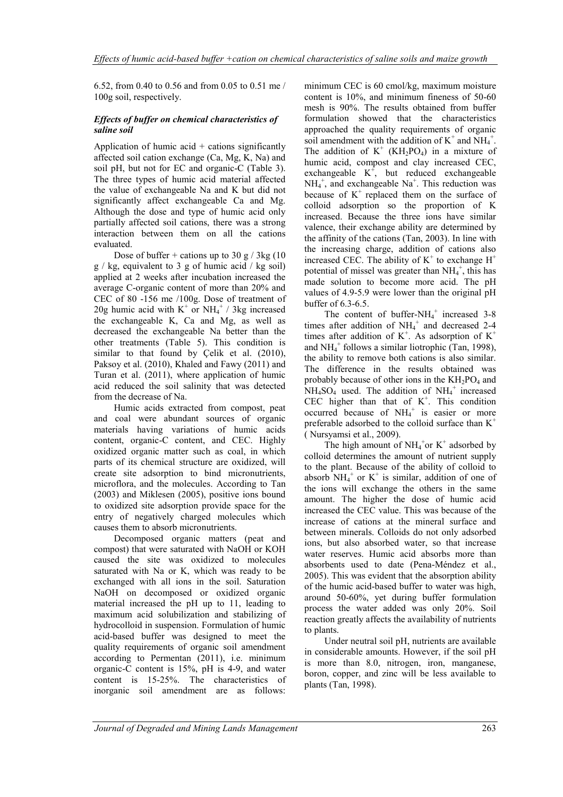6.52, from 0.40 to 0.56 and from 0.05 to 0.51 me / 100g soil, respectively.

### *Effects of buffer on chemical characteristics of saline soil*

Application of humic acid  $+$  cations significantly affected soil cation exchange (Ca, Mg, K, Na) and soil pH, but not for EC and organic-C (Table 3). The three types of humic acid material affected the value of exchangeable Na and K but did not significantly affect exchangeable Ca and Mg. Although the dose and type of humic acid only partially affected soil cations, there was a strong interaction between them on all the cations evaluated.

Dose of buffer + cations up to 30 g  $/$  3kg (10  $g / kg$ , equivalent to 3 g of humic acid / kg soil) applied at 2 weeks after incubation increased the average C-organic content of more than 20% and CEC of 80 -156 me /100g. Dose of treatment of 20g humic acid with  $K^+$  or  $NH_4^+$  / 3kg increased the exchangeable K, Ca and Mg, as well as decreased the exchangeable Na better than the other treatments (Table 5). This condition is similar to that found by Çelik et al. (2010), Paksoy et al. (2010), Khaled and Fawy (2011) and Turan et al. (2011), where application of humic acid reduced the soil salinity that was detected from the decrease of Na.

Humic acids extracted from compost, peat and coal were abundant sources of organic materials having variations of humic acids content, organic-C content, and CEC. Highly oxidized organic matter such as coal, in which parts of its chemical structure are oxidized, will create site adsorption to bind micronutrients, microflora, and the molecules. According to Tan (2003) and Miklesen (2005), positive ions bound to oxidized site adsorption provide space for the entry of negatively charged molecules which causes them to absorb micronutrients.

Decomposed organic matters (peat and compost) that were saturated with NaOH or KOH caused the site was oxidized to molecules saturated with Na or K, which was ready to be exchanged with all ions in the soil. Saturation NaOH on decomposed or oxidized organic material increased the pH up to 11, leading to maximum acid solubilization and stabilizing of hydrocolloid in suspension. Formulation of humic acid-based buffer was designed to meet the quality requirements of organic soil amendment according to Permentan (2011), i.e. minimum organic-C content is 15%, pH is 4-9, and water content is 15-25%. The characteristics of inorganic soil amendment are as follows:

minimum CEC is 60 cmol/kg, maximum moisture content is 10%, and minimum fineness of 50-60 mesh is 90%. The results obtained from buffer formulation showed that the characteristics approached the quality requirements of organic soil amendment with the addition of  $K^+$  and  $NH_4^+$ . The addition of  $K^+$  (KH<sub>2</sub>PO<sub>4</sub>) in a mixture of humic acid, compost and clay increased CEC, exchangeable  $K^+$ , but reduced exchangeable  $NH_4^+$ , and exchangeable  $Na^+$ . This reduction was because of  $K^+$  replaced them on the surface of colloid adsorption so the proportion of K increased. Because the three ions have similar valence, their exchange ability are determined by the affinity of the cations (Tan, 2003). In line with the increasing charge, addition of cations also increased CEC. The ability of  $K^+$  to exchange  $H^+$ potential of missel was greater than  $NH_4^+$ , this has made solution to become more acid. The pH values of 4.9-5.9 were lower than the original pH buffer of 6.3-6.5.

The content of buffer- $NH_4^+$  increased 3-8 times after addition of  $NH_4^+$  and decreased 2-4 times after addition of  $K^+$ . As adsorption of  $K^+$ and NH<sub>4</sub><sup>+</sup> follows a similar liotrophic (Tan, 1998), the ability to remove both cations is also similar. The difference in the results obtained was probably because of other ions in the  $KH_2PO_4$  and  $NH_4SO_4$  used. The addition of  $NH_4^+$  increased CEC higher than that of  $K^+$ . This condition occurred because of  $NH_4^+$  is easier or more preferable adsorbed to the colloid surface than  $K^+$ ( Nursyamsi et al., 2009).

The high amount of  $NH_4$ <sup>+</sup>or K<sup>+</sup> adsorbed by colloid determines the amount of nutrient supply to the plant. Because of the ability of colloid to absorb  $NH_4^+$  or K<sup>+</sup> is similar, addition of one of the ions will exchange the others in the same amount. The higher the dose of humic acid increased the CEC value. This was because of the increase of cations at the mineral surface and between minerals. Colloids do not only adsorbed ions, but also absorbed water, so that increase water reserves. Humic acid absorbs more than absorbents used to date (Pena-Méndez et al., 2005). This was evident that the absorption ability of the humic acid-based buffer to water was high, around 50-60%, yet during buffer formulation process the water added was only 20%. Soil reaction greatly affects the availability of nutrients to plants.

Under neutral soil pH, nutrients are available in considerable amounts. However, if the soil pH is more than 8.0, nitrogen, iron, manganese, boron, copper, and zinc will be less available to plants (Tan, 1998).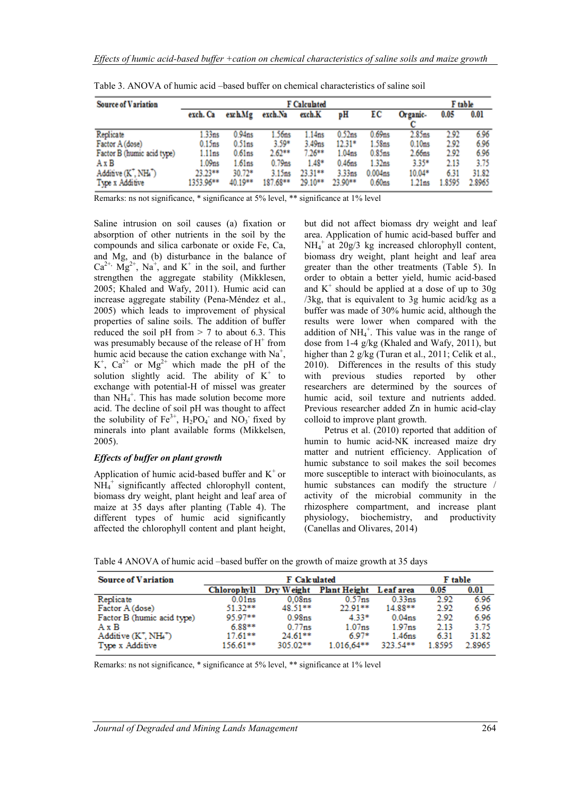| <b>Source of Variation</b>                                                                                                                        |                                                                         |                                                                                     | F table                                                                   |                                                               |                                                                                                             |                                                                                                  |                                                                                   |                                                |                                                 |
|---------------------------------------------------------------------------------------------------------------------------------------------------|-------------------------------------------------------------------------|-------------------------------------------------------------------------------------|---------------------------------------------------------------------------|---------------------------------------------------------------|-------------------------------------------------------------------------------------------------------------|--------------------------------------------------------------------------------------------------|-----------------------------------------------------------------------------------|------------------------------------------------|-------------------------------------------------|
|                                                                                                                                                   | exch. Ca                                                                | exchMg                                                                              | exch.Na                                                                   | exch.K                                                        | рH                                                                                                          | ЕC                                                                                               | Organic-                                                                          | 0.05                                           | 0.01                                            |
| Replicate<br>Factor A (dose)<br>Factor B (humic acid type)<br>AxB<br>Additive (K <sup>+</sup> , NH <sub>4</sub> <sup>+</sup> )<br>Type x Additive | .33 <sub>ns</sub><br>0.15ns<br>1.11ns<br>1.09ns<br>23.23**<br>1353.96** | 0.94 <sub>ns</sub><br>0.51ns<br>0.61 <sub>ns</sub><br>1.61ns<br>$30.72*$<br>40.19** | 1.56ns<br>$3.59*$<br>$2.62**$<br>0.79 <sub>ns</sub><br>3.15ns<br>187.68** | 1.14ns<br>3.49ns<br>$7.26**$<br>$1.48*$<br>23.31**<br>29.10** | 0.52 <sub>ns</sub><br>$12.31*$<br>1.04 <sub>ns</sub><br>0.46 <sub>ns</sub><br>3.33 <sub>ns</sub><br>23.90** | $0.69$ ns<br>1.58ns<br>0.85ns<br>1.32 <sub>ns</sub><br>0.004 <sub>ns</sub><br>0.60 <sub>ns</sub> | 2.85ns<br>0.10 <sub>ns</sub><br>2.66ns<br>$3.35*$<br>10.04*<br>1.21 <sub>ns</sub> | 2.92<br>2.92<br>2.92<br>2.13<br>6.31<br>1.8595 | 6.96<br>6.96<br>6.96<br>3.75<br>31.82<br>2.8965 |

|  |  |  | Table 3. ANOVA of humic acid –based buffer on chemical characteristics of saline soil |  |
|--|--|--|---------------------------------------------------------------------------------------|--|
|  |  |  |                                                                                       |  |

Remarks: ns not significance, \* significance at 5% level, \*\* significance at 1% level

Saline intrusion on soil causes (a) fixation or absorption of other nutrients in the soil by the compounds and silica carbonate or oxide Fe, Ca, and Mg, and (b) disturbance in the balance of  $Ca^{2+}$ ,  $Mg^{2+}$ , Na<sup>+</sup>, and K<sup>+</sup> in the soil, and further strengthen the aggregate stability (Mikklesen, 2005; Khaled and Wafy, 2011). Humic acid can increase aggregate stability (Pena-Méndez et al., 2005) which leads to improvement of physical properties of saline soils. The addition of buffer reduced the soil pH from  $> 7$  to about 6.3. This was presumably because of the release of  $H^+$  from humic acid because the cation exchange with  $Na<sup>+</sup>$ ,  $K^+$ ,  $Ca^{2+}$  or  $Mg^{2+}$  which made the pH of the solution slightly acid. The ability of  $K^+$  to exchange with potential-H of missel was greater than  $NH_4^+$ . This has made solution become more acid. The decline of soil pH was thought to affect the solubility of  $Fe^{3+}$ ,  $H_2PO_4^-$  and  $NO_3^-$  fixed by minerals into plant available forms (Mikkelsen, 2005).

### *Effects of buffer on plant growth*

Application of humic acid-based buffer and  $K^+$  or NH<sub>4</sub><sup>+</sup> significantly affected chlorophyll content, biomass dry weight, plant height and leaf area of maize at 35 days after planting (Table 4). The different types of humic acid significantly affected the chlorophyll content and plant height,

but did not affect biomass dry weight and leaf area. Application of humic acid-based buffer and NH<sup>4</sup> + at 20g/3 kg increased chlorophyll content, biomass dry weight, plant height and leaf area greater than the other treatments (Table 5). In order to obtain a better yield, humic acid-based and  $K^+$  should be applied at a dose of up to 30g /3kg, that is equivalent to 3g humic acid/kg as a buffer was made of 30% humic acid, although the results were lower when compared with the addition of  $NH_4^+$ . This value was in the range of dose from 1-4 g/kg (Khaled and Wafy, 2011), but higher than 2 g/kg (Turan et al., 2011; Celik et al., 2010). Differences in the results of this study with previous studies reported by other researchers are determined by the sources of humic acid, soil texture and nutrients added. Previous researcher added Zn in humic acid-clay colloid to improve plant growth.

Petrus et al. (2010) reported that addition of humin to humic acid-NK increased maize dry matter and nutrient efficiency. Application of humic substance to soil makes the soil becomes more susceptible to interact with bioinoculants, as humic substances can modify the structure / activity of the microbial community in the rhizosphere compartment, and increase plant physiology, biochemistry, and productivity (Canellas and Olivares, 2014)

Table 4 ANOVA of humic acid –based buffer on the growth of maize growth at 35 days

| <b>Source of Variation</b> |                    | F table            |                     |                    |        |        |
|----------------------------|--------------------|--------------------|---------------------|--------------------|--------|--------|
|                            | <b>Chlorophyll</b> | Dry Weight         | <b>Plant Height</b> | Leaf area          | 0.05   | 0.01   |
| Replicate                  | 0.01 <sub>ns</sub> | 0.08 <sub>ns</sub> | 0.57 <sub>ns</sub>  | $0.33$ ns          | 2.92   | 6.96   |
| Factor A (dose)            | 51.32**            | 48.51**            | $22.91**$           | 14.88**            | 2.92   | 6.96   |
| Factor B (humic acid type) | 95 97**            | 0.98 <sub>ns</sub> | $4.33*$             | 0.04 <sub>ns</sub> | 2.92   | 6.96   |
| $A \times B$               | $6.88**$           | $0.77$ ns          | 1.07 <sub>ns</sub>  | 1.97 <sub>ns</sub> | 2.13   | 3.75   |
| $Additive (K^+, NH_4^+)$   | $17.61***$         | $24.61***$         | $6.97*$             | 1.46 <sub>ns</sub> | 6.31   | 31.82  |
| Type x Additive            | 156.61**           | 305.02**           | $1.016.64***$       | 323.54**           | 1.8595 | 2.8965 |

Remarks: ns not significance, \* significance at 5% level, \*\* significance at 1% level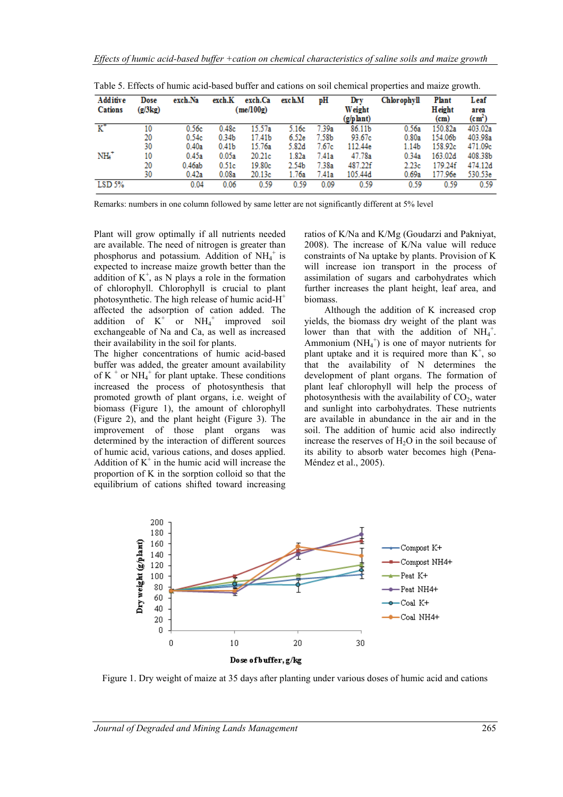| Additive       | Dose    | exch.Na | exch.K            | exch.Ca            | exch.M | pН    | Drv                 | Chlorophyll       | <b>Plant</b>   | Leaf                    |
|----------------|---------|---------|-------------------|--------------------|--------|-------|---------------------|-------------------|----------------|-------------------------|
| <b>Cations</b> | (g/3kg) |         |                   | $(\text{me}/100g)$ |        |       | Weight<br>(g/plant) |                   | Height<br>(cm) | area<br>$\text{(cm}^2)$ |
| $K^*$          | 10      | 0.56c   | 0.48c             | 15.57a             | 5.16c  | 7.39a | 86.11b              | 0.56a             | 150.82a        | 403.02a                 |
|                |         |         |                   |                    |        |       |                     |                   |                |                         |
|                | 20      | 0.54c   | 0.34 <sub>b</sub> | 17.41b             | 6.52e  | 7.58b | 93.67c              | 0.80a             | 154.06b        | 403.98a                 |
|                | 30      | 0.40a   | 0.41 <sub>b</sub> | 15.76a             | 5.82d  | 7.67c | 112.44e             | 1.14 <sub>b</sub> | 158.92c        | 471.09c                 |
| NH4+           | 10      | 0.45a   | 0.05a             | 20.21c             | 1.82a  | 7.41a | 47.78a              | 0.34a             | 163.02d        | 408.38b                 |
|                | 20      | 0.46ab  | 0.51c             | 19.80c             | 2.54b  | 7.38a | 487.22f             | 2.23c             | 179.24f        | 474.12d                 |
|                | 30      | 0.42a   | 0.08a             | 20.13c             | 1.76a  | 7.41a | 105.44d             | 0.69a             | 177.96e        | 530.53e                 |
| LSD 5%         |         | 0.04    | 0.06              | 0.59               | 0.59   | 0.09  | 0.59                | 0.59              | 0.59           | 0.59                    |

Table 5. Effects of humic acid-based buffer and cations on soil chemical properties and maize growth.

Remarks: numbers in one column followed by same letter are not significantly different at 5% level

Plant will grow optimally if all nutrients needed are available. The need of nitrogen is greater than phosphorus and potassium. Addition of NH<sub>4</sub><sup>+</sup> is expected to increase maize growth better than the addition of  $K^+$ , as N plays a role in the formation of chlorophyll. Chlorophyll is crucial to plant photosynthetic. The high release of humic acid-H<sup>+</sup> affected the adsorption of cation added. The addition of  $K^+$  or  $NH_4^+$ improved soil exchangeable of Na and Ca, as well as increased their availability in the soil for plants.

The higher concentrations of humic acid-based buffer was added, the greater amount availability of K<sup>+</sup> or NH<sub>4</sub><sup>+</sup> for plant uptake. These conditions increased the process of photosynthesis that promoted growth of plant organs, i.e. weight of biomass (Figure 1), the amount of chlorophyll (Figure 2), and the plant height (Figure 3). The improvement of those plant organs was determined by the interaction of different sources of humic acid, various cations, and doses applied. Addition of  $K^+$  in the humic acid will increase the proportion of K in the sorption colloid so that the equilibrium of cations shifted toward increasing

ratios of K/Na and K/Mg (Goudarzi and Pakniyat, 2008). The increase of K/Na value will reduce constraints of Na uptake by plants. Provision of K will increase ion transport in the process of assimilation of sugars and carbohydrates which further increases the plant height, leaf area, and biomass.

Although the addition of K increased crop yields, the biomass dry weight of the plant was lower than that with the addition of  $NH_4^+$ . Ammonium  $(NH_4^+)$  is one of mayor nutrients for plant uptake and it is required more than  $K^+$ , so that the availability of N determines the development of plant organs. The formation of plant leaf chlorophyll will help the process of photosynthesis with the availability of  $CO<sub>2</sub>$ , water and sunlight into carbohydrates. These nutrients are available in abundance in the air and in the soil. The addition of humic acid also indirectly increase the reserves of  $H_2O$  in the soil because of its ability to absorb water becomes high (Pena-Méndez et al., 2005).



Figure 1. Dry weight of maize at 35 days after planting under various doses of humic acid and cations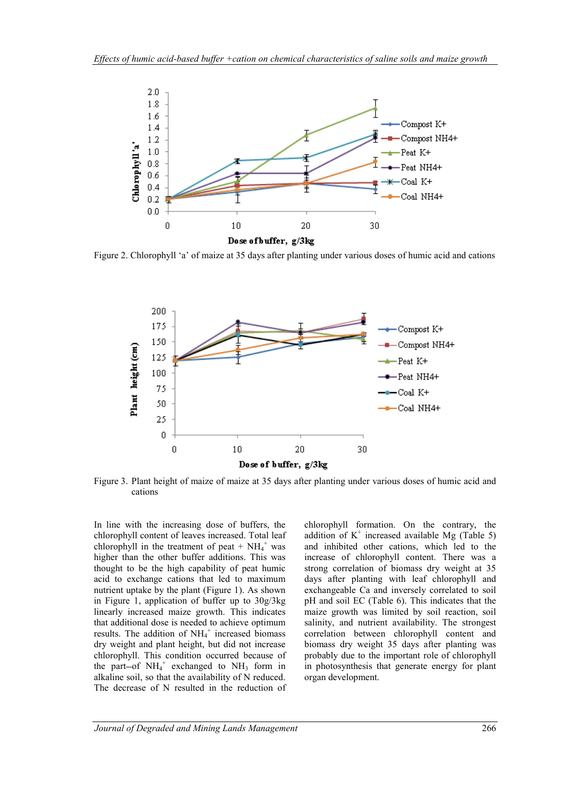

Figure 2. Chlorophyll 'a' of maize at 35 days after planting under various doses of humic acid and cations



Figure 3. Plant height of maize of maize at 35 days after planting under various doses of humic acid and cations

In line with the increasing dose of buffers, the chlorophyll content of leaves increased. Total leaf chlorophyll in the treatment of peat +  $NH_4^+$  was higher than the other buffer additions. This was thought to be the high capability of peat humic acid to exchange cations that led to maximum nutrient uptake by the plant (Figure 1). As shown in Figure 1, application of buffer up to 30g/3kg linearly increased maize growth. This indicates that additional dose is needed to achieve optimum results. The addition of  $NH_4^+$  increased biomass dry weight and plant height, but did not increase chlorophyll. This condition occurred because of the part-of  $NH_4^+$  exchanged to  $NH_3$  form in alkaline soil, so that the availability of N reduced. The decrease of N resulted in the reduction of

chlorophyll formation. On the contrary, the addition of  $K^+$  increased available Mg (Table 5) and inhibited other cations, which led to the increase of chlorophyll content. There was a strong correlation of biomass dry weight at 35 days after planting with leaf chlorophyll and exchangeable Ca and inversely correlated to soil pH and soil EC (Table 6). This indicates that the maize growth was limited by soil reaction, soil salinity, and nutrient availability. The strongest correlation between chlorophyll content and biomass dry weight 35 days after planting was probably due to the important role of chlorophyll in photosynthesis that generate energy for plant organ development.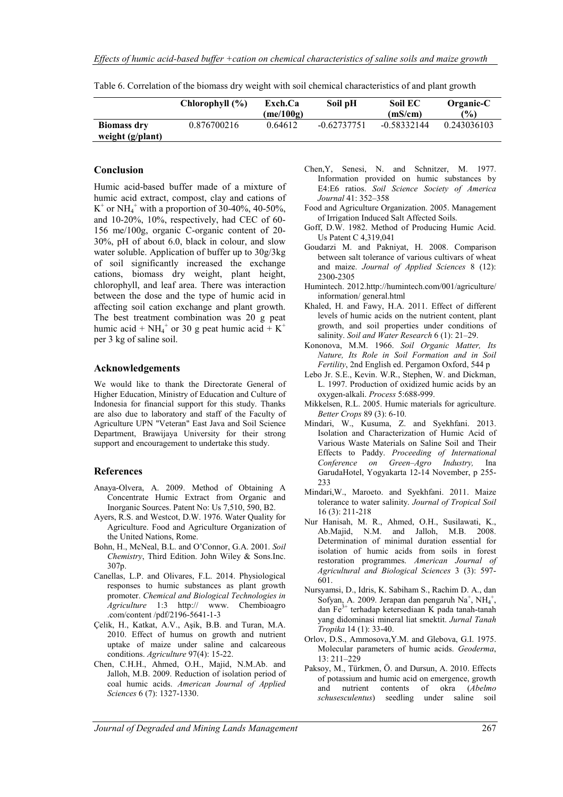|                                        | Chlorophyll (%) | Exch.Ca<br>(me/100g) | Soil pH       | Soil EC<br>(mS/cm) | Organic-C<br>$\frac{6}{6}$ |
|----------------------------------------|-----------------|----------------------|---------------|--------------------|----------------------------|
| <b>Biomass dry</b><br>weight (g/plant) | 0.876700216     | 0.64612              | $-0.62737751$ | $-0.58332144$      | 0.243036103                |

Table 6. Correlation of the biomass dry weight with soil chemical characteristics of and plant growth

### **Conclusion**

Humic acid-based buffer made of a mixture of humic acid extract, compost, clay and cations of  $K^+$  or NH<sub>4</sub><sup>+</sup> with a proportion of 30-40%, 40-50%, and 10-20%, 10%, respectively, had CEC of 60- 156 me/100g, organic C-organic content of 20- 30%, pH of about 6.0, black in colour, and slow water soluble. Application of buffer up to 30g/3kg of soil significantly increased the exchange cations, biomass dry weight, plant height, chlorophyll, and leaf area. There was interaction between the dose and the type of humic acid in affecting soil cation exchange and plant growth. The best treatment combination was 20 g peat humic acid +  $NH_4^+$  or 30 g peat humic acid + K<sup>+</sup> per 3 kg of saline soil.

#### **Acknowledgements**

We would like to thank the Directorate General of Higher Education, Ministry of Education and Culture of Indonesia for financial support for this study. Thanks are also due to laboratory and staff of the Faculty of Agriculture UPN "Veteran" East Java and Soil Science Department, Brawijaya University for their strong support and encouragement to undertake this study.

### **References**

- Anaya-Olvera, A. 2009. Method of Obtaining A Concentrate Humic Extract from Organic and Inorganic Sources. Patent No: Us 7,510, 590, B2.
- Ayers, R.S. and Westcot, D.W. 1976. Water Quality for Agriculture. Food and Agriculture Organization of the United Nations, Rome.
- Bohn, H., McNeal, B.L. and O'Connor, G.A. 2001. *Soil Chemistry*, Third Edition. John Wiley & Sons.Inc. 307p.
- Canellas, L.P. and Olivares, F.L. 2014. Physiological responses to humic substances as plant growth promoter. *Chemical and Biological Technologies in Agriculture* 1:3 http:// www. Chembioagro .com/content /pdf/2196-5641-1-3
- Çelik, H., Katkat, A.V., Aşik, B.B. and Turan, M.A. 2010. Effect of humus on growth and nutrient uptake of maize under saline and calcareous conditions. *Agriculture* 97(4): 15-22.
- Chen, C.H.H., Ahmed, O.H., Majid, N.M.Ab. and Jalloh, M.B. 2009. Reduction of isolation period of coal humic acids. *American Journal of Applied Sciences* 6 (7): 1327-1330.
- Chen,Y, Senesi, N. and Schnitzer, M. 1977. Information provided on humic substances by E4:E6 ratios. *Soil Science Society of America Journal* 41: 352–358
- Food and Agriculture Organization. 2005. Management of Irrigation Induced Salt Affected Soils.
- Goff, D.W. 1982. Method of Producing Humic Acid. Us Patent C 4,319,041
- Goudarzi M. and Pakniyat, H. 2008. Comparison between salt tolerance of various cultivars of wheat and maize. *Journal of Applied Sciences* 8 (12): 2300-2305
- Humintech. 2012.http://humintech.com/001/agriculture/ information/ general.html
- Khaled, H. and Fawy, H.A. 2011. Effect of different levels of humic acids on the nutrient content, plant growth, and soil properties under conditions of salinity. *Soil and Water Research* 6 (1): 21–29.
- Kononova, M.M. 1966. *Soil Organic Matter, Its Nature, Its Role in Soil Formation and in Soil Fertility*, 2nd English ed. Pergamon Oxford, 544 p
- Lebo Jr. S.E., Kevin. W.R., Stephen, W. and Dickman, L. 1997. Production of oxidized humic acids by an oxygen-alkali. *Process* 5:688-999.
- Mikkelsen, R.L. 2005. Humic materials for agriculture. *Better Crops* 89 (3): 6-10.
- Mindari, W., Kusuma, Z. and Syekhfani. 2013. Isolation and Characterization of Humic Acid of Various Waste Materials on Saline Soil and Their Effects to Paddy. *Proceeding of International Conference on Green–Agro* GarudaHotel, Yogyakarta 12-14 November, p 255- 233
- Mindari,W., Maroeto. and Syekhfani. 2011. Maize tolerance to water salinity. *Journal of Tropical Soil* 16 (3): 211-218
- Nur Hanisah, M. R., Ahmed, O.H., Susilawati, K., Ab.Majid, N.M. and Jalloh, M.B. 2008. Determination of minimal duration essential for isolation of humic acids from soils in forest restoration programmes. *American Journal of Agricultural and Biological Sciences* 3 (3): 597- 601.
- Nursyamsi, D., Idris, K. Sabiham S., Rachim D. A., dan Sofyan, A. 2009. Jerapan dan pengaruh Na<sup>+</sup>, NH<sub>4</sub><sup>+</sup>, dan Fe3+ terhadap ketersediaan K pada tanah-tanah yang didominasi mineral liat smektit. *Jurnal Tanah Tropika* 14 (1): 33-40.
- Orlov, D.S., Ammosova,Y.M. and Glebova, G.I. 1975. Molecular parameters of humic acids. *Geoderma*, 13: 211–229
- Paksoy, M., Türkmen, Ö. and Dursun, A. 2010. Effects of potassium and humic acid on emergence, growth and nutrient contents of okra (*Abelmo schusesculentus*) seedling under saline soil

*Journal of Degraded and Mining Lands Management* 267